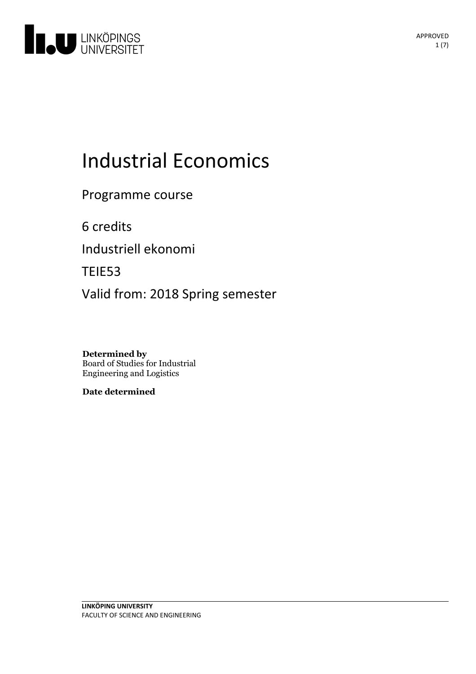

# **Industrial Economics**

Programme course

6 credits

Industriell ekonomi

TEIE53

Valid from: 2018 Spring semester

**Determined by** Board of Studies for Industrial Engineering and Logistics

**Date determined**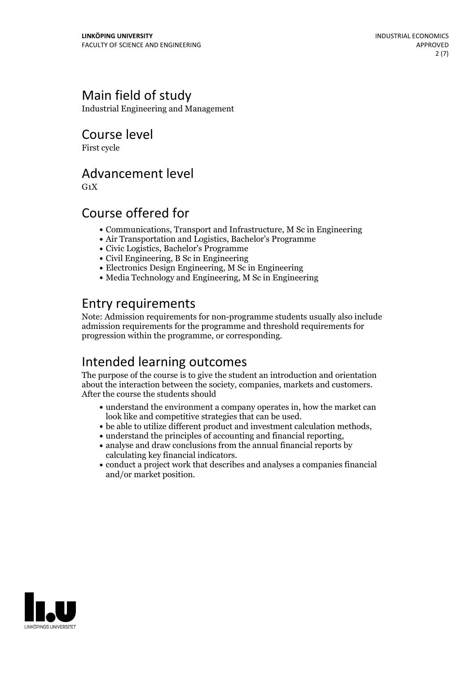## Main field of study

Industrial Engineering and Management

Course level

First cycle

## Advancement level

 $G_1X$ 

## Course offered for

- Communications, Transport and Infrastructure, M Sc in Engineering
- Air Transportation and Logistics, Bachelor's Programme
- Civic Logistics, Bachelor's Programme
- Civil Engineering, B Sc in Engineering
- Electronics Design Engineering, M Sc in Engineering
- $\bullet$  Media Technology and Engineering, M Sc in Engineering

## Entry requirements

Note: Admission requirements for non-programme students usually also include admission requirements for the programme and threshold requirements for progression within the programme, or corresponding.

## Intended learning outcomes

The purpose of the course is to give the student an introduction and orientation about the interaction between the society, companies, markets and customers. After the course the students should

- understand the environment a company operates in, how the market can
- $\bullet$  be able to utilize different product and investment calculation methods,  $\bullet$  understand the principles of accounting and financial reporting,
- 
- $\bullet$  analyse and draw conclusions from the annual financial reports by calculating key financial indicators.
- conduct a project work that describes and analyses a companies financial and/or market position.

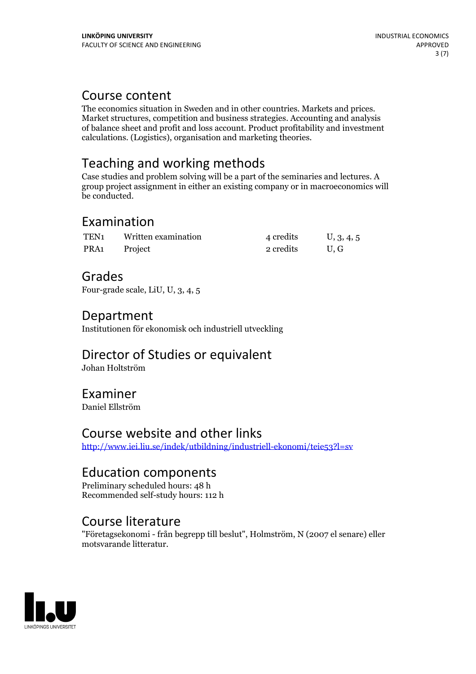Course content<br>The economics situation in Sweden and in other countries. Markets and prices. Market structures, competition and business strategies. Accounting and analysis of balance sheet and profit and loss account. Product profitability and investment calculations. (Logistics), organisation and marketing theories.

## Teaching and working methods

Case studies and problem solving will be a part of the seminaries and lectures. A group project assignment in either an existing company or in macroeconomics will be conducted.

## Examination

| TEN <sub>1</sub> | Written examination | 4 credits | U, 3, 4, 5 |
|------------------|---------------------|-----------|------------|
| PRA1             | Project             | 2 credits | U.G        |

## Grades

Four-grade scale, LiU, U, 3, 4, 5

## Department

Institutionen för ekonomisk och industriell utveckling

## Director of Studies or equivalent

Johan Holtström

## Examiner

Daniel Ellström

## Course website and other links

<http://www.iei.liu.se/indek/utbildning/industriell-ekonomi/teie53?l=sv>

## Education components

Preliminary scheduled hours: 48 h Recommended self-study hours: 112 h

## Course literature

"Företagsekonomi - från begrepp till beslut", Holmström, N (2007 el senare) eller motsvarande litteratur.

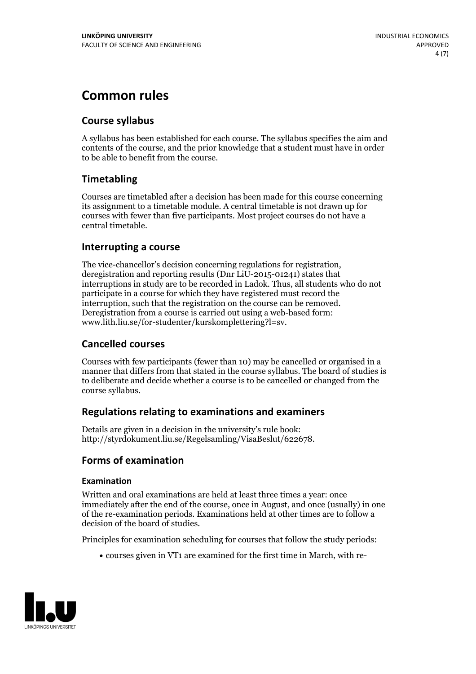## **Common rules**

#### **Course syllabus**

A syllabus has been established for each course. The syllabus specifies the aim and contents of the course, and the prior knowledge that a student must have in order to be able to benefit from the course.

### **Timetabling**

Courses are timetabled after a decision has been made for this course concerning its assignment to a timetable module. A central timetable is not drawn up for courses with fewer than five participants. Most project courses do not have a central timetable.

#### **Interrupting a course**

The vice-chancellor's decision concerning regulations for registration, deregistration and reporting results (Dnr LiU-2015-01241) states that interruptions in study are to be recorded in Ladok. Thus, all students who do not participate in a course for which they have registered must record the interruption, such that the registration on the course can be removed. Deregistration from <sup>a</sup> course is carried outusing <sup>a</sup> web-based form: www.lith.liu.se/for-studenter/kurskomplettering?l=sv.

#### **Cancelled courses**

Courses with few participants (fewer than 10) may be cancelled or organised in a manner that differs from that stated in the course syllabus. The board of studies is to deliberate and decide whether a course is to be cancelled orchanged from the course syllabus.

#### **Regulations relatingto examinations and examiners**

Details are given in a decision in the university's rule book: http://styrdokument.liu.se/Regelsamling/VisaBeslut/622678.

#### **Forms of examination**

#### **Examination**

Written and oral examinations are held at least three times a year: once immediately after the end of the course, once in August, and once (usually) in one of the re-examination periods. Examinations held at other times are to follow a decision of the board of studies.

Principles for examination scheduling for courses that follow the study periods:

courses given in VT1 are examined for the first time in March, with re-

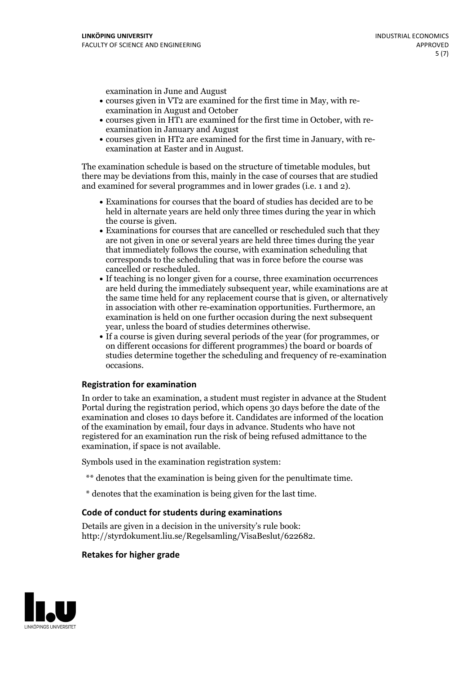examination in June and August

- courses given in VT2 are examined for the first time in May, with re-examination in August and October
- courses given in HT1 are examined for the first time in October, with re-examination in January and August
- courses given in HT2 are examined for the first time in January, with re-examination at Easter and in August.

The examination schedule is based on the structure of timetable modules, but there may be deviations from this, mainly in the case of courses that are studied and examined for several programmes and in lower grades (i.e. 1 and 2).

- Examinations for courses that the board of studies has decided are to be held in alternate years are held only three times during the year in which
- the course is given.<br>• Examinations for courses that are cancelled or rescheduled such that they are not given in one or several years are held three times during the year that immediately follows the course, with examination scheduling that corresponds to the scheduling that was in force before the course was cancelled or rescheduled.<br>• If teaching is no longer given for a course, three examination occurrences
- are held during the immediately subsequent year, while examinations are at the same time held for any replacement course that is given, or alternatively in association with other re-examination opportunities. Furthermore, an examination is held on one further occasion during the next subsequent year, unless the board of studies determines otherwise.<br>• If a course is given during several periods of the year (for programmes, or
- on different occasions for different programmes) the board orboards of studies determine together the scheduling and frequency of re-examination occasions.

#### **Registration for examination**

In order to take an examination, a student must register in advance at the Student Portal during the registration period, which opens 30 days before the date of the examination and closes 10 days before it. Candidates are informed of the location of the examination by email, four days in advance. Students who have not registered for an examination run the risk of being refused admittance to the examination, if space is not available.

Symbols used in the examination registration system:

- \*\* denotes that the examination is being given for the penultimate time.
- \* denotes that the examination is being given for the last time.

#### **Code of conduct for students during examinations**

Details are given in a decision in the university's rule book: http://styrdokument.liu.se/Regelsamling/VisaBeslut/622682.

#### **Retakes for higher grade**

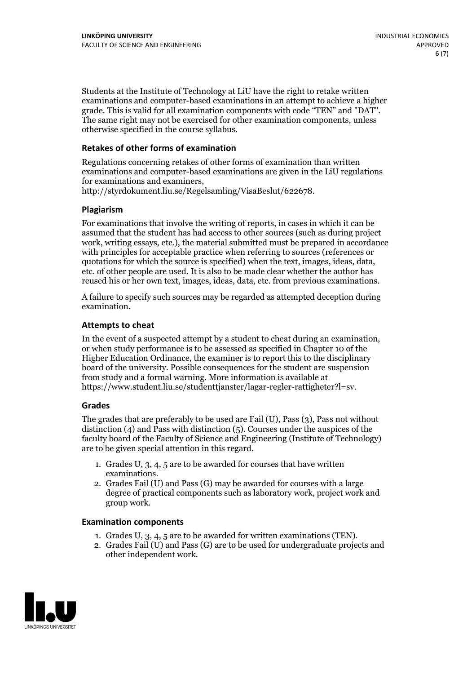Students at the Institute of Technology at LiU have the right to retake written examinations and computer-based examinations in an attempt to achieve a higher grade. This is valid for all examination components with code "TEN" and "DAT". The same right may not be exercised for other examination components, unless otherwise specified in the course syllabus.

#### **Retakes of other forms of examination**

Regulations concerning retakes of other forms of examination than written examinations and computer-based examinations are given in the LiU regulations for examinations and examiners, http://styrdokument.liu.se/Regelsamling/VisaBeslut/622678.

#### **Plagiarism**

For examinations that involve the writing of reports, in cases in which it can be assumed that the student has had access to other sources (such as during project work, writing essays, etc.), the material submitted must be prepared in accordance with principles for acceptable practice when referring to sources (references or quotations for which the source is specified) when the text, images, ideas, data, etc. of other people are used. It is also to be made clear whether the author has reused his or her own text, images, ideas, data, etc. from previous examinations.

A failure to specify such sources may be regarded as attempted deception during examination.

#### **Attempts to cheat**

In the event of <sup>a</sup> suspected attempt by <sup>a</sup> student to cheat during an examination, or when study performance is to be assessed as specified in Chapter <sup>10</sup> of the Higher Education Ordinance, the examiner is to report this to the disciplinary board of the university. Possible consequences for the student are suspension from study and a formal warning. More information is available at https://www.student.liu.se/studenttjanster/lagar-regler-rattigheter?l=sv.

#### **Grades**

The grades that are preferably to be used are Fail (U), Pass (3), Pass not without distinction  $(4)$  and Pass with distinction  $(5)$ . Courses under the auspices of the faculty board of the Faculty of Science and Engineering (Institute of Technology) are to be given special attention in this regard.

- 1. Grades U, 3, 4, 5 are to be awarded for courses that have written
- examinations. 2. Grades Fail (U) and Pass (G) may be awarded for courses with <sup>a</sup> large degree of practical components such as laboratory work, project work and group work.

#### **Examination components**

- 
- 1. Grades U, 3, 4, <sup>5</sup> are to be awarded for written examinations (TEN). 2. Grades Fail (U) and Pass (G) are to be used for undergraduate projects and other independent work.